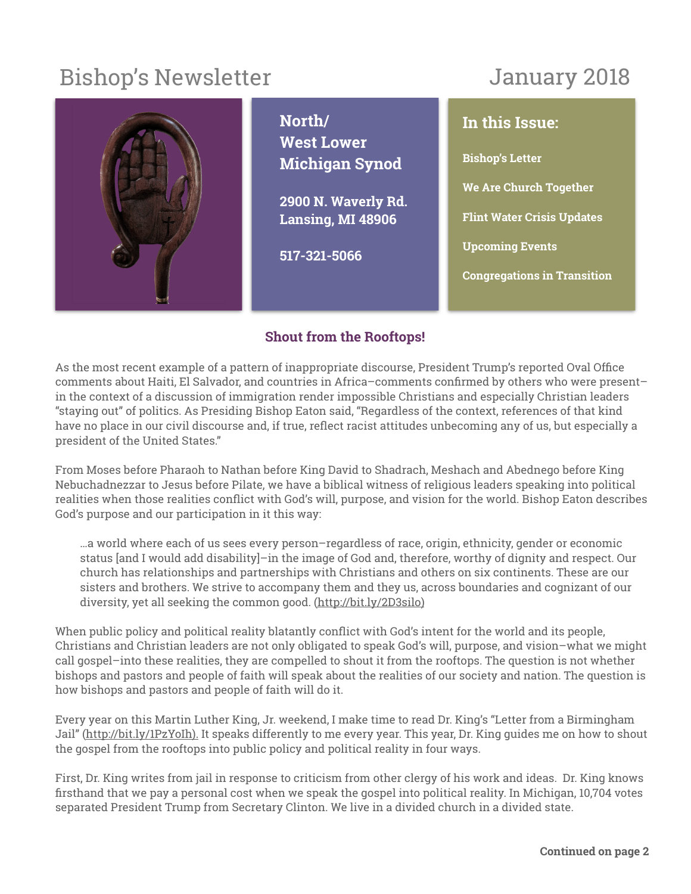# Bishop's Newsletter

# January 2018



**North/ West Lower Michigan Synod** 

**2900 N. Waverly Rd. Lansing, MI 48906** 

**517-321-5066**

**In this Issue: Bishop's Letter We Are Church Together Flint Water Crisis Updates Upcoming Events Congregations in Transition**

## **Shout from the Rooftops!**

As the most recent example of a pattern of inappropriate discourse, President Trump's reported Oval Office comments about Haiti, El Salvador, and countries in Africa–comments confirmed by others who were present– in the context of a discussion of immigration render impossible Christians and especially Christian leaders "staying out" of politics. As Presiding Bishop Eaton said, "Regardless of the context, references of that kind have no place in our civil discourse and, if true, reflect racist attitudes unbecoming any of us, but especially a president of the United States."

From Moses before Pharaoh to Nathan before King David to Shadrach, Meshach and Abednego before King Nebuchadnezzar to Jesus before Pilate, we have a biblical witness of religious leaders speaking into political realities when those realities conflict with God's will, purpose, and vision for the world. Bishop Eaton describes God's purpose and our participation in it this way:

…a world where each of us sees every person–regardless of race, origin, ethnicity, gender or economic status [and I would add disability]–in the image of God and, therefore, worthy of dignity and respect. Our church has relationships and partnerships with Christians and others on six continents. These are our sisters and brothers. We strive to accompany them and they us, across boundaries and cognizant of our diversity, yet all seeking the common good. [\(http://bit.ly/2D3silo](http://bit.ly/2D3silo))

When public policy and political reality blatantly conflict with God's intent for the world and its people, Christians and Christian leaders are not only obligated to speak God's will, purpose, and vision–what we might call gospel–into these realities, they are compelled to shout it from the rooftops. The question is not whether bishops and pastors and people of faith will speak about the realities of our society and nation. The question is how bishops and pastors and people of faith will do it.

Every year on this Martin Luther King, Jr. weekend, I make time to read Dr. King's "Letter from a Birmingham Jail" [\(http://bit.ly/1PzYoIh](http://bit.ly/1PzYoIh)). It speaks differently to me every year. This year, Dr. King guides me on how to shout the gospel from the rooftops into public policy and political reality in four ways.

First, Dr. King writes from jail in response to criticism from other clergy of his work and ideas. Dr. King knows firsthand that we pay a personal cost when we speak the gospel into political reality. In Michigan, 10,704 votes separated President Trump from Secretary Clinton. We live in a divided church in a divided state.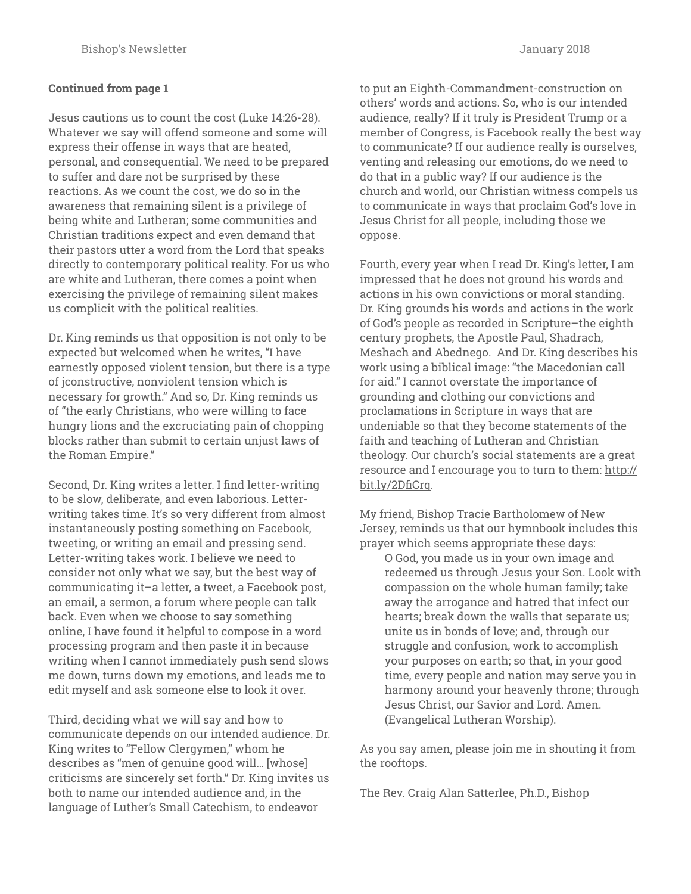### **Continued from page 1**

Jesus cautions us to count the cost (Luke 14:26-28). Whatever we say will offend someone and some will express their offense in ways that are heated, personal, and consequential. We need to be prepared to suffer and dare not be surprised by these reactions. As we count the cost, we do so in the awareness that remaining silent is a privilege of being white and Lutheran; some communities and Christian traditions expect and even demand that their pastors utter a word from the Lord that speaks directly to contemporary political reality. For us who are white and Lutheran, there comes a point when exercising the privilege of remaining silent makes us complicit with the political realities.

Dr. King reminds us that opposition is not only to be expected but welcomed when he writes, "I have earnestly opposed violent tension, but there is a type of jconstructive, nonviolent tension which is necessary for growth." And so, Dr. King reminds us of "the early Christians, who were willing to face hungry lions and the excruciating pain of chopping blocks rather than submit to certain unjust laws of the Roman Empire."

Second, Dr. King writes a letter. I find letter-writing to be slow, deliberate, and even laborious. Letterwriting takes time. It's so very different from almost instantaneously posting something on Facebook, tweeting, or writing an email and pressing send. Letter-writing takes work. I believe we need to consider not only what we say, but the best way of communicating it–a letter, a tweet, a Facebook post, an email, a sermon, a forum where people can talk back. Even when we choose to say something online, I have found it helpful to compose in a word processing program and then paste it in because writing when I cannot immediately push send slows me down, turns down my emotions, and leads me to edit myself and ask someone else to look it over.

Third, deciding what we will say and how to communicate depends on our intended audience. Dr. King writes to "Fellow Clergymen," whom he describes as "men of genuine good will… [whose] criticisms are sincerely set forth." Dr. King invites us both to name our intended audience and, in the language of Luther's Small Catechism, to endeavor

to put an Eighth-Commandment-construction on others' words and actions. So, who is our intended audience, really? If it truly is President Trump or a member of Congress, is Facebook really the best way to communicate? If our audience really is ourselves, venting and releasing our emotions, do we need to do that in a public way? If our audience is the church and world, our Christian witness compels us to communicate in ways that proclaim God's love in Jesus Christ for all people, including those we oppose.

Fourth, every year when I read Dr. King's letter, I am impressed that he does not ground his words and actions in his own convictions or moral standing. Dr. King grounds his words and actions in the work of God's people as recorded in Scripture–the eighth century prophets, the Apostle Paul, Shadrach, Meshach and Abednego. And Dr. King describes his work using a biblical image: "the Macedonian call for aid." I cannot overstate the importance of grounding and clothing our convictions and proclamations in Scripture in ways that are undeniable so that they become statements of the faith and teaching of Lutheran and Christian theology. Our church's social statements are a great [resource and I encourage you to turn to them: http://](http://bit.ly/2DfiCrq) bit.ly/2DfiCrq.

My friend, Bishop Tracie Bartholomew of New Jersey, reminds us that our hymnbook includes this prayer which seems appropriate these days:

O God, you made us in your own image and redeemed us through Jesus your Son. Look with compassion on the whole human family; take away the arrogance and hatred that infect our hearts; break down the walls that separate us; unite us in bonds of love; and, through our struggle and confusion, work to accomplish your purposes on earth; so that, in your good time, every people and nation may serve you in harmony around your heavenly throne; through Jesus Christ, our Savior and Lord. Amen. (Evangelical Lutheran Worship).

As you say amen, please join me in shouting it from the rooftops.

The Rev. Craig Alan Satterlee, Ph.D., Bishop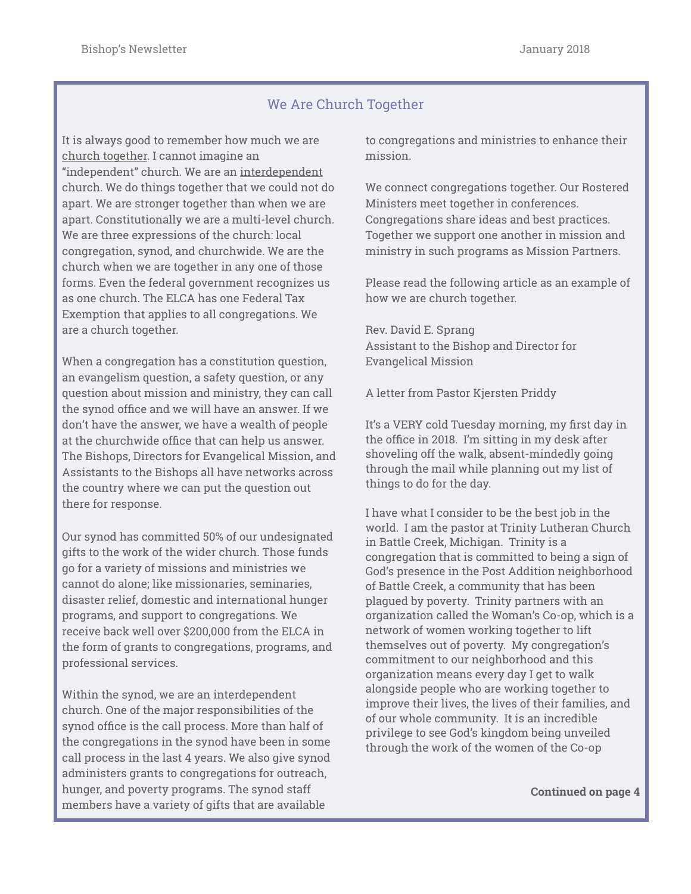## We Are Church Together

It is always good to remember how much we are church together. I cannot imagine an "independent" church. We are an interdependent church. We do things together that we could not do apart. We are stronger together than when we are apart. Constitutionally we are a multi-level church. We are three expressions of the church: local congregation, synod, and churchwide. We are the church when we are together in any one of those forms. Even the federal government recognizes us as one church. The ELCA has one Federal Tax Exemption that applies to all congregations. We are a church together.

When a congregation has a constitution question, an evangelism question, a safety question, or any question about mission and ministry, they can call the synod office and we will have an answer. If we don't have the answer, we have a wealth of people at the churchwide office that can help us answer. The Bishops, Directors for Evangelical Mission, and Assistants to the Bishops all have networks across the country where we can put the question out there for response.

Our synod has committed 50% of our undesignated gifts to the work of the wider church. Those funds go for a variety of missions and ministries we cannot do alone; like missionaries, seminaries, disaster relief, domestic and international hunger programs, and support to congregations. We receive back well over \$200,000 from the ELCA in the form of grants to congregations, programs, and professional services.

Within the synod, we are an interdependent church. One of the major responsibilities of the synod office is the call process. More than half of the congregations in the synod have been in some call process in the last 4 years. We also give synod administers grants to congregations for outreach, hunger, and poverty programs. The synod staff members have a variety of gifts that are available

to congregations and ministries to enhance their mission.

We connect congregations together. Our Rostered Ministers meet together in conferences. Congregations share ideas and best practices. Together we support one another in mission and ministry in such programs as Mission Partners.

Please read the following article as an example of how we are church together.

Rev. David E. Sprang Assistant to the Bishop and Director for Evangelical Mission

A letter from Pastor Kjersten Priddy

It's a VERY cold Tuesday morning, my first day in the office in 2018. I'm sitting in my desk after shoveling off the walk, absent-mindedly going through the mail while planning out my list of things to do for the day.

I have what I consider to be the best job in the world. I am the pastor at Trinity Lutheran Church in Battle Creek, Michigan. Trinity is a congregation that is committed to being a sign of God's presence in the Post Addition neighborhood of Battle Creek, a community that has been plagued by poverty. Trinity partners with an organization called the Woman's Co-op, which is a network of women working together to lift themselves out of poverty. My congregation's commitment to our neighborhood and this organization means every day I get to walk alongside people who are working together to improve their lives, the lives of their families, and of our whole community. It is an incredible privilege to see God's kingdom being unveiled through the work of the women of the Co-op

**Continued on page 4**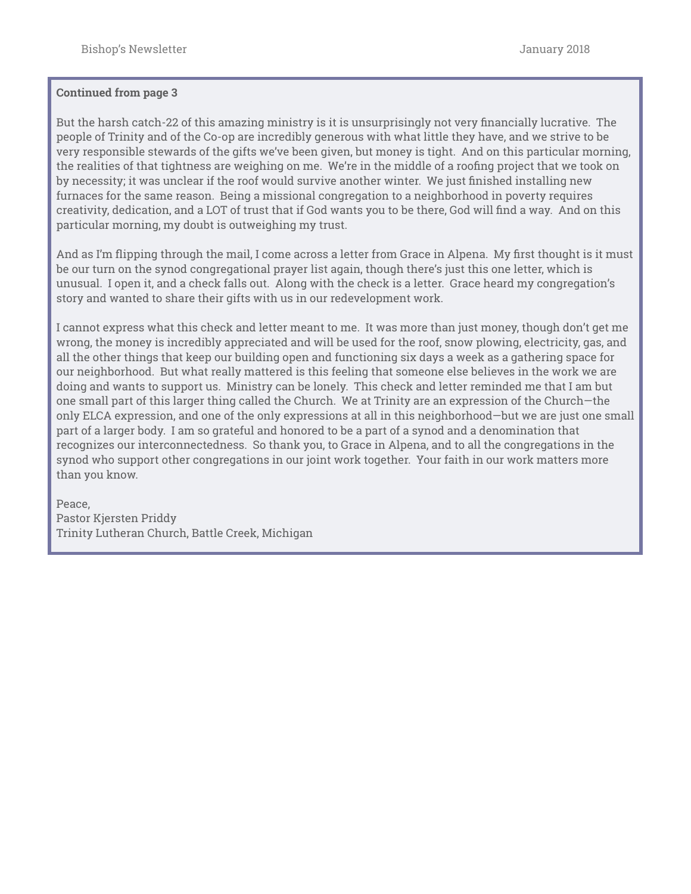#### **Continued from page 3**

But the harsh catch-22 of this amazing ministry is it is unsurprisingly not very financially lucrative. The people of Trinity and of the Co-op are incredibly generous with what little they have, and we strive to be very responsible stewards of the gifts we've been given, but money is tight. And on this particular morning, the realities of that tightness are weighing on me. We're in the middle of a roofing project that we took on by necessity; it was unclear if the roof would survive another winter. We just finished installing new furnaces for the same reason. Being a missional congregation to a neighborhood in poverty requires creativity, dedication, and a LOT of trust that if God wants you to be there, God will find a way. And on this particular morning, my doubt is outweighing my trust.

And as I'm flipping through the mail, I come across a letter from Grace in Alpena. My first thought is it must be our turn on the synod congregational prayer list again, though there's just this one letter, which is unusual. I open it, and a check falls out. Along with the check is a letter. Grace heard my congregation's story and wanted to share their gifts with us in our redevelopment work.

I cannot express what this check and letter meant to me. It was more than just money, though don't get me wrong, the money is incredibly appreciated and will be used for the roof, snow plowing, electricity, gas, and all the other things that keep our building open and functioning six days a week as a gathering space for our neighborhood. But what really mattered is this feeling that someone else believes in the work we are doing and wants to support us. Ministry can be lonely. This check and letter reminded me that I am but one small part of this larger thing called the Church. We at Trinity are an expression of the Church—the only ELCA expression, and one of the only expressions at all in this neighborhood—but we are just one small part of a larger body. I am so grateful and honored to be a part of a synod and a denomination that recognizes our interconnectedness. So thank you, to Grace in Alpena, and to all the congregations in the synod who support other congregations in our joint work together. Your faith in our work matters more than you know.

Peace, Pastor Kjersten Priddy Trinity Lutheran Church, Battle Creek, Michigan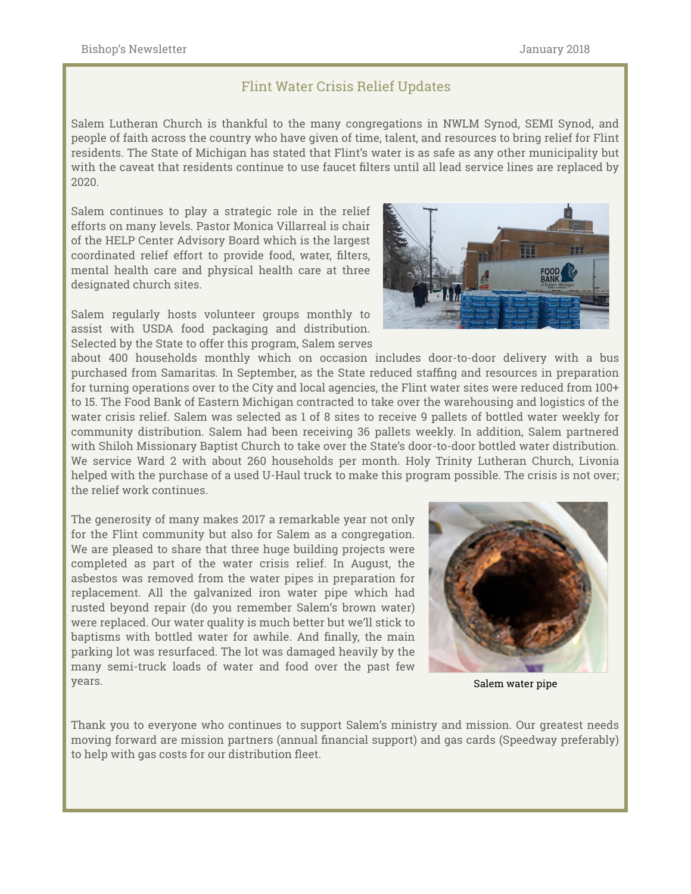### Flint Water Crisis Relief Updates

Salem Lutheran Church is thankful to the many congregations in NWLM Synod, SEMI Synod, and people of faith across the country who have given of time, talent, and resources to bring relief for Flint residents. The State of Michigan has stated that Flint's water is as safe as any other municipality but with the caveat that residents continue to use faucet filters until all lead service lines are replaced by 2020.

Salem continues to play a strategic role in the relief efforts on many levels. Pastor Monica Villarreal is chair of the HELP Center Advisory Board which is the largest coordinated relief effort to provide food, water, filters, mental health care and physical health care at three designated church sites.

Salem regularly hosts volunteer groups monthly to assist with USDA food packaging and distribution. Selected by the State to offer this program, Salem serves

about 400 households monthly which on occasion includes door-to-door delivery with a bus purchased from Samaritas. In September, as the State reduced staffing and resources in preparation for turning operations over to the City and local agencies, the Flint water sites were reduced from 100+ to 15. The Food Bank of Eastern Michigan contracted to take over the warehousing and logistics of the water crisis relief. Salem was selected as 1 of 8 sites to receive 9 pallets of bottled water weekly for community distribution. Salem had been receiving 36 pallets weekly. In addition, Salem partnered with Shiloh Missionary Baptist Church to take over the State's door-to-door bottled water distribution. We service Ward 2 with about 260 households per month. Holy Trinity Lutheran Church, Livonia helped with the purchase of a used U-Haul truck to make this program possible. The crisis is not over; the relief work continues.

The generosity of many makes 2017 a remarkable year not only for the Flint community but also for Salem as a congregation. We are pleased to share that three huge building projects were completed as part of the water crisis relief. In August, the asbestos was removed from the water pipes in preparation for replacement. All the galvanized iron water pipe which had rusted beyond repair (do you remember Salem's brown water) were replaced. Our water quality is much better but we'll stick to baptisms with bottled water for awhile. And finally, the main parking lot was resurfaced. The lot was damaged heavily by the many semi-truck loads of water and food over the past few years.



Salem water pipe

Thank you to everyone who continues to support Salem's ministry and mission. Our greatest needs moving forward are mission partners (annual financial support) and gas cards (Speedway preferably) to help with gas costs for our distribution fleet.

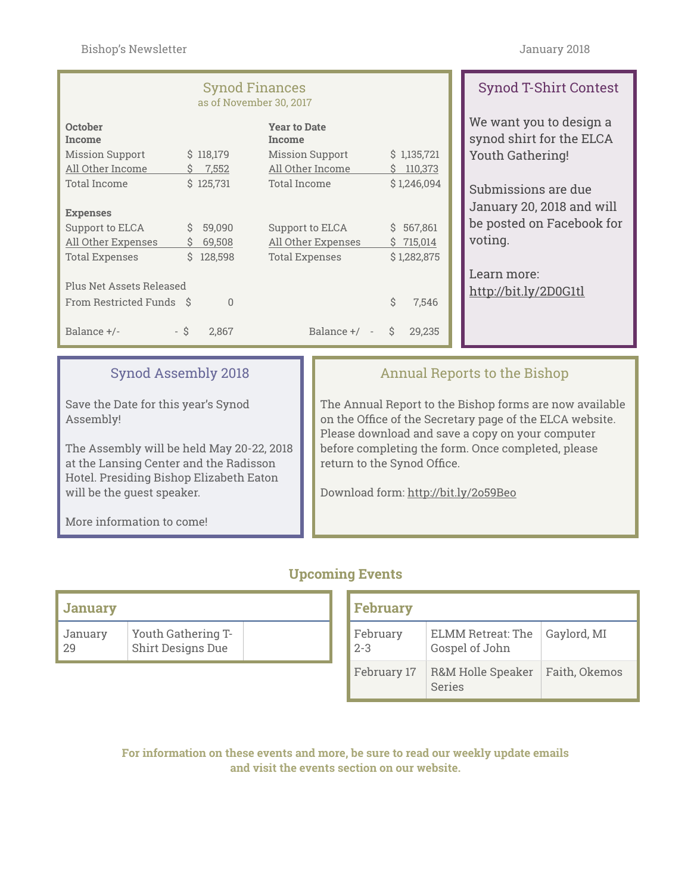#### Synod Finances as of November 30, 2017

|                          |          | <b>Year to Date</b><br>Income          |    |             |  |  |
|--------------------------|----------|----------------------------------------|----|-------------|--|--|
|                          |          | <b>Mission Support</b>                 |    | \$1,135,721 |  |  |
| S                        | 7,552    | All Other Income                       | Ś  | 110,373     |  |  |
|                          |          | Total Income                           |    | \$1,246,094 |  |  |
|                          |          |                                        |    |             |  |  |
|                          |          |                                        |    |             |  |  |
| S                        | 59,090   | Support to ELCA                        | S. | 567,861     |  |  |
| S                        | 69,508   | All Other Expenses                     | S  | 715,014     |  |  |
| S                        | 128,598  | <b>Total Expenses</b>                  |    | \$1,282,875 |  |  |
|                          |          |                                        |    |             |  |  |
| Plus Net Assets Released |          |                                        |    |             |  |  |
| - S                      | $\Omega$ |                                        | Ś  | 7,546       |  |  |
|                          |          |                                        |    |             |  |  |
| - \$                     | 2.867    | Balance +/<br>$\overline{\phantom{a}}$ | Ŝ  | 29.235      |  |  |
|                          |          | \$118,179<br>\$125,731                 |    |             |  |  |

# Synod T-Shirt Contest

We want you to design a synod shirt for the ELCA Youth Gathering!

Submissions are due January 20, 2018 and will be posted on Facebook for voting.

Learn more: <http://bit.ly/2D0G1tl>

## Synod Assembly 2018

Save the Date for this year's Synod Assembly!

The Assembly will be held May 20-22, 2018 at the Lansing Center and the Radisson Hotel. Presiding Bishop Elizabeth Eaton will be the guest speaker.

More information to come!

## Annual Reports to the Bishop

The Annual Report to the Bishop forms are now available on the Office of the Secretary page of the ELCA website. Please download and save a copy on your computer before completing the form. Once completed, please return to the Synod Office.

Download form:<http://bit.ly/2o59Beo>

### **Upcoming Events**

| <b>January</b> |                                         |  |
|----------------|-----------------------------------------|--|
| January<br>29  | Youth Gathering T-<br>Shirt Designs Due |  |

| <b>February</b>     |                                            |               |  |  |  |  |
|---------------------|--------------------------------------------|---------------|--|--|--|--|
| February<br>$2 - 3$ | <b>ELMM Retreat: The</b><br>Gospel of John | Gaylord, MI   |  |  |  |  |
| February 17         | R&M Holle Speaker<br>Series                | Faith, Okemos |  |  |  |  |

**For information on these events and more, be sure to read our weekly update emails and visit the events section on our website.**